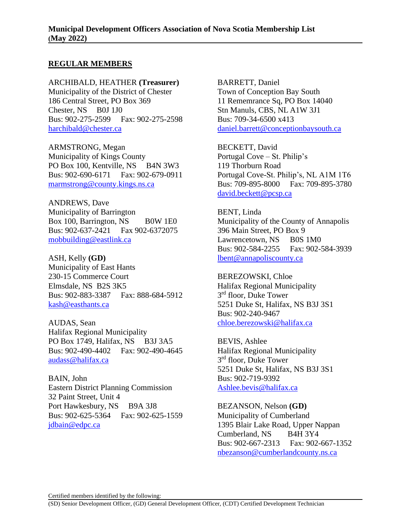## **REGULAR MEMBERS**

ARCHIBALD, HEATHER **(Treasurer)** Municipality of the District of Chester 186 Central Street, PO Box 369 Chester, NS B0J 1J0 Bus: 902-275-2599 Fax: 902-275-2598 [harchibald@chester.ca](mailto:harchibald@chester.ca) 

ARMSTRONG, Megan Municipality of Kings County PO Box 100, Kentville, NS B4N 3W3 Bus: 902-690-6171 Fax: 902-679-0911 marmstrong@county.kings.ns.ca

ANDREWS, Dave Municipality of Barrington Box 100, Barrington, NS B0W 1E0 Bus: 902-637-2421 Fax 902-6372075 [mobbuilding@eastlink.ca](mailto:mobbuilding@eastlink.ca)

ASH, Kelly **(GD)** Municipality of East Hants 230-15 Commerce Court Elmsdale, NS B2S 3K5 Bus: 902-883-3387 Fax: 888-684-5912 [kash@easthants.ca](mailto:kash@easthants.ca)

AUDAS, Sean Halifax Regional Municipality PO Box 1749, Halifax, NS B3J 3A5 Bus: 902-490-4402 Fax: 902-490-4645 audass@halifax.ca

BAIN, John Eastern District Planning Commission 32 Paint Street, Unit 4 Port Hawkesbury, NS B9A 3J8 Bus: 902-625-5364 Fax: 902-625-1559 jdbain@edpc.ca

BARRETT, Daniel Town of Conception Bay South 11 Rememrance Sq, PO Box 14040 Stn Manuls, CBS, NL A1W 3J1 Bus: 709-34-6500 x413 [daniel.barrett@conceptionbaysouth.ca](mailto:daniel.barrett@conceptionbaysouth.ca)

BECKETT, David Portugal Cove – St. Philip's 119 Thorburn Road Portugal Cove-St. Philip's, NL A1M 1T6 Bus: 709-895-8000 Fax: 709-895-3780 [david.beckett@pcsp.ca](mailto:david.beckett@pcsp.ca)

BENT, Linda Municipality of the County of Annapolis 396 Main Street, PO Box 9 Lawrencetown, NS B0S 1M0 Bus: 902-584-2255 Fax: 902-584-3939 [lbent@annapoliscounty.ca](mailto:lbent@annapoliscounty.ca)

BEREZOWSKI, Chloe Halifax Regional Municipality 3<sup>rd</sup> floor, Duke Tower 5251 Duke St, Halifax, NS B3J 3S1 Bus: 902-240-9467 [chloe.berezowski@halifax.ca](mailto:chloe.berezowski@halifax.ca)

BEVIS, Ashlee Halifax Regional Municipality 3<sup>rd</sup> floor, Duke Tower 5251 Duke St, Halifax, NS B3J 3S1 Bus: 902-719-9392 [Ashlee.bevis@halifax.ca](mailto:Ashlee.bevis@halifax.ca)

BEZANSON, Nelson **(GD)** Municipality of Cumberland 1395 Blair Lake Road, Upper Nappan Cumberland, NS B4H 3Y4 Bus: 902-667-2313 Fax: 902-667-1352 [nbezanson@cumberlandcounty.ns.ca](mailto:nbezanson@cumberlandcounty.ns.ca)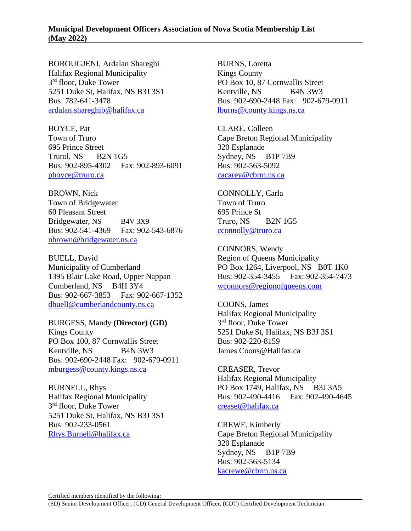BOROUGJENI, Ardalan Shareghi Halifax Regional Municipality 3<sup>rd</sup> floor, Duke Tower 5251 Duke St, Halifax, NS B3J 3S1 Bus: 782-641-3478 [ardalan.shareghib@halifax.ca](mailto:ardalan.shareghib@halifax.ca)

BOYCE, Pat Town of Truro 695 Prince Street Trurol, NS B2N 1G5 Bus: 902-895-4302 Fax: 902-893-6091 [pboyce@truro.ca](mailto:pboyce@truro.ca)

BROWN, Nick Town of Bridgewater 60 Pleasant Street Bridgewater, NS B4V 3X9 Bus: 902-541-4369 Fax: 902-543-6876 nbrown@bridgewater.ns.ca

BUELL, David Municipality of Cumberland 1395 Blair Lake Road, Upper Nappan Cumberland, NS B4H 3Y4 Bus: 902-667-3853 Fax: 902-667-1352 [dbuell@cumberlandcounty.ns.ca](mailto:dbuell@cumberlandcounty.ns.ca)

BURGESS, Mandy **(Director) (GD)** Kings County PO Box 100, 87 Cornwallis Street Kentville, NS B4N 3W3 Bus: 902-690-2448 Fax: 902-679-0911 [mburgess@county.kings.ns.ca](mailto:mburgess@county.kings.ns.ca)

BURNELL, Rhys Halifax Regional Municipality 3<sup>rd</sup> floor, Duke Tower 5251 Duke St, Halifax, NS B3J 3S1 Bus: 902-233-0561 [Rhys.Burnell@halifax.ca](mailto:Rhys.Burnell@halifax.ca)

BURNS, Loretta Kings County PO Box 10, 87 Cornwallis Street Kentville, NS B4N 3W3 Bus: 902-690-2448 Fax: 902-679-0911 [lburns@county.kings.ns.ca](mailto:lburns@county.kings.ns.ca)

CLARE, Colleen Cape Breton Regional Municipality 320 Esplanade Sydney, NS B1P 7B9 Bus: 902-563-5092 [cacarey@cbrm.ns.ca](mailto:cacarey@cbrm.ns.ca)

CONNOLLY, Carla Town of Truro 695 Prince St Truro, NS B2N 1G5 [cconnolly@truro.ca](mailto:cconnolly@truro.ca)

CONNORS, Wendy Region of Queens Municipality PO Box 1264, Liverpool, NS B0T 1K0 Bus: 902-354-3455 Fax: 902-354-7473 wconnors@regionofqueens.com

COONS, James Halifax Regional Municipality 3<sup>rd</sup> floor, Duke Tower 5251 Duke St, Halifax, NS B3J 3S1 Bus: 902-220-8159 James.Coons@Halifax.ca

CREASER, Trevor Halifax Regional Municipality PO Box 1749, Halifax, NS B3J 3A5 Bus: 902-490-4416 Fax: 902-490-4645 creaset@halifax.ca

CREWE, Kimberly Cape Breton Regional Municipality 320 Esplanade Sydney, NS B1P 7B9 Bus: 902-563-5134 [kacrewe@cbrm.ns.ca](mailto:kacrewe@cbrm.ns.ca)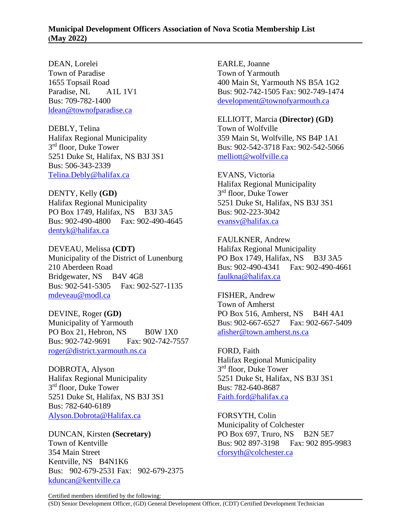DEAN, Lorelei Town of Paradise 1655 Topsail Road Paradise, NL A1L 1V1 Bus: 709-782-1400 [ldean@townofparadise.ca](mailto:ldean@townofparadise.ca)

DEBLY, Telina Halifax Regional Municipality 3<sup>rd</sup> floor, Duke Tower 5251 Duke St, Halifax, NS B3J 3S1 Bus: 506-343-2339 [Telina.Debly@halifax.ca](mailto:Telina.Debly@halifax.ca)

DENTY, Kelly **(GD)** Halifax Regional Municipality PO Box 1749, Halifax, NS B3J 3A5 Bus: 902-490-4800 Fax: 902-490-4645 dentyk@halifax.ca

DEVEAU, Melissa **(CDT)** Municipality of the District of Lunenburg 210 Aberdeen Road Bridgewater, NS B4V 4G8 Bus: 902-541-5305 Fax: 902-527-1135 mdeveau@modl.ca

DEVINE, Roger **(GD)** Municipality of Yarmouth PO Box 21, Hebron, NS  $B0W1X0$ Bus: 902-742-9691 Fax: 902-742-7557 [roger@district.yarmouth.ns.ca](mailto:roger@district.yarmouth.ns.ca)

DOBROTA, Alyson Halifax Regional Municipality 3<sup>rd</sup> floor, Duke Tower 5251 Duke St, Halifax, NS B3J 3S1 Bus: 782-640-6189 [Alyson.Dobrota@Halifax.ca](mailto:Alyson.Dobrota@Halifax.ca)

DUNCAN, Kirsten **(Secretary)** Town of Kentville 354 Main Street Kentville, NS B4N1K6 Bus: 902-679-2531 Fax: 902-679-2375 [kduncan@kentville.ca](mailto:kduncan@kentville.ca)

EARLE, Joanne Town of Yarmouth 400 Main St, Yarmouth NS B5A 1G2 Bus: 902-742-1505 Fax: 902-749-1474 development@townofyarmouth.ca

ELLIOTT, Marcia **(Director) (GD)** Town of Wolfville 359 Main St, Wolfville, NS B4P 1A1 Bus: 902-542-3718 Fax: 902-542-5066 [melliott@wolfville.ca](mailto:melliott@wolfville.ca)

EVANS, Victoria Halifax Regional Municipality 3<sup>rd</sup> floor, Duke Tower 5251 Duke St, Halifax, NS B3J 3S1 Bus: 902-223-3042 [evansv@halifax.ca](mailto:evansv@halifax.ca)

FAULKNER, Andrew Halifax Regional Municipality PO Box 1749, Halifax, NS B3J 3A5 Bus: 902-490-4341 Fax: 902-490-4661 faulkna@halifax.ca

FISHER, Andrew Town of Amherst PO Box 516, Amherst, NS B4H 4A1 Bus: 902-667-6527 Fax: 902-667-5409 afisher@town.amherst.ns.ca

FORD, Faith Halifax Regional Municipality 3<sup>rd</sup> floor, Duke Tower 5251 Duke St, Halifax, NS B3J 3S1 Bus: 782-640-8687 [Faith.ford@halifax.ca](mailto:Faith.ford@halifax.ca)

FORSYTH, Colin Municipality of Colchester PO Box 697, Truro, NS B2N 5E7 Bus: 902 897-3198 Fax: 902 895-9983 cforsyth@colchester.ca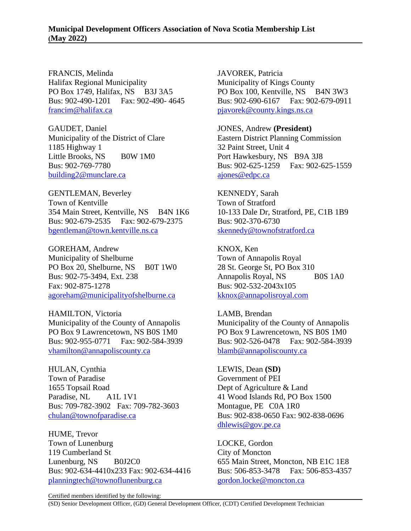FRANCIS, Melinda Halifax Regional Municipality PO Box 1749, Halifax, NS B3J 3A5 Bus: 902-490-1201 Fax: 902-490- 4645 francim@halifax.ca

GAUDET, Daniel Municipality of the District of Clare 1185 Highway 1 Little Brooks, NS B0W 1M0 Bus: 902-769-7780 [building2@munclare.ca](mailto:building2@munclare.ca)

GENTLEMAN, Beverley Town of Kentville 354 Main Street, Kentville, NS B4N 1K6 Bus: 902-679-2535 Fax: 902-679-2375 bgentleman@town.kentville.ns.ca

GOREHAM, Andrew Municipality of Shelburne PO Box 20, Shelburne, NS B0T 1W0 Bus: 902-75-3494, Ext. 238 Fax: 902-875-1278 [agoreham@municipalityofshelburne.ca](mailto:agoreham@municipalityofshelburne.ca)

HAMILTON, Victoria Municipality of the County of Annapolis PO Box 9 Lawrencetown, NS B0S 1M0 Bus: 902-955-0771 Fax: 902-584-3939 vhamilton@annapoliscounty.ca

HULAN, Cynthia Town of Paradise 1655 Topsail Road Paradise, NL A1L 1V1 Bus: 709-782-3902 Fax: 709-782-3603 [chulan@townofparadise.ca](mailto:chulan@townofparadise.ca)

HUME, Trevor Town of Lunenburg 119 Cumberland St Lunenburg, NS B0J2C0 Bus: 902-634-4410x233 Fax: 902-634-4416 [planningtech@townoflunenburg.ca](mailto:planningtech@townoflunenburg.ca)

JAVOREK, Patricia Municipality of Kings County PO Box 100, Kentville, NS B4N 3W3 Bus: 902-690-6167 Fax: 902-679-0911 pjavorek@county.kings.ns.ca

JONES, Andrew **(President)** Eastern District Planning Commission 32 Paint Street, Unit 4 Port Hawkesbury, NS B9A 3J8 Bus: 902-625-1259 Fax: 902-625-1559 [ajones@edpc.ca](mailto:ajones@edpc.ca)

KENNEDY, Sarah Town of Stratford 10-133 Dale Dr, Stratford, PE, C1B 1B9 Bus: 902-370-6730 [skennedy@townofstratford.ca](mailto:skennedy@townofstratford.ca)

KNOX, Ken Town of Annapolis Royal 28 St. George St, PO Box 310 Annapolis Royal, NS B0S 1A0 Bus: 902-532-2043x105 [kknox@annapolisroyal.com](mailto:kknox@annapolisroyal.com)

LAMB, Brendan Municipality of the County of Annapolis PO Box 9 Lawrencetown, NS B0S 1M0 Bus: 902-526-0478 Fax: 902-584-3939 blamb@annapoliscounty.ca

LEWIS, Dean **(SD)** Government of PEI Dept of Agriculture & Land 41 Wood Islands Rd, PO Box 1500 Montague, PE C0A 1R0 Bus: 902-838-0650 Fax: 902-838-0696 [dhlewis@gov.pe.ca](mailto:dhlewis@gov.pe.ca)

LOCKE, Gordon City of Moncton 655 Main Street, Moncton, NB E1C 1E8 Bus: 506-853-3478 Fax: 506-853-4357 gordon.locke@moncton.ca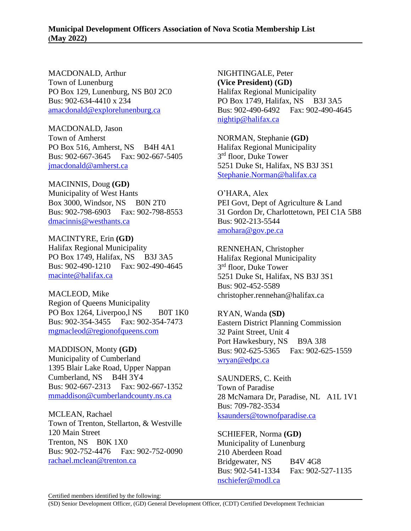MACDONALD, Arthur Town of Lunenburg PO Box 129, Lunenburg, NS B0J 2C0 Bus: 902-634-4410 x 234 [amacdonald@explorelunenburg.ca](mailto:amacdonald@explorelunenburg.ca)

MACDONALD, Jason Town of Amherst PO Box 516, Amherst, NS B4H 4A1 Bus: 902-667-3645 Fax: 902-667-5405 jmacdonald@amherst.ca

MACINNIS, Doug **(GD)** Municipality of West Hants Box 3000, Windsor, NS B0N 2T0 Bus: 902-798-6903 Fax: 902-798-8553 dmacinnis@westhants.ca

MACINTYRE, Erin **(GD)** Halifax Regional Municipality PO Box 1749, Halifax, NS B3J 3A5 Bus: 902-490-1210 Fax: 902-490-4645 macinte@halifax.ca

MACLEOD, Mike Region of Queens Municipality PO Box 1264, Liverpoo, lNS B0T 1K0 Bus: 902-354-3455 Fax: 902-354-7473 mgmacleod@regionofqueens.com

MADDISON, Monty **(GD)** Municipality of Cumberland 1395 Blair Lake Road, Upper Nappan<br>Cumberland. NS B4H 3Y4 Cumberland, NS Bus: 902-667-2313 Fax: 902-667-1352 [mmaddison@cumberlandcounty.ns.ca](mailto:mmaddison@cumberlandcounty.ns.ca)

MCLEAN, Rachael Town of Trenton, Stellarton, & Westville 120 Main Street Trenton, NS B0K 1X0 Bus: 902-752-4476 Fax: 902-752-0090 [rachael.mclean@trenton.ca](mailto:rachael.mclean@trenton.ca)

NIGHTINGALE, Peter **(Vice President) (GD)** Halifax Regional Municipality PO Box 1749, Halifax, NS B3J 3A5 Bus: 902-490-6492 Fax: 902-490-4645 nightip@halifax.ca

NORMAN, Stephanie **(GD)** Halifax Regional Municipality 3<sup>rd</sup> floor, Duke Tower 5251 Duke St, Halifax, NS B3J 3S1 [Stephanie.Norman@halifax.ca](mailto:Stephanie.Norman@halifax.ca)

O'HARA, Alex PEI Govt, Dept of Agriculture & Land 31 Gordon Dr, Charlottetown, PEI C1A 5B8 Bus: 902-213-5544 [amohara@gov.pe.ca](mailto:amohara@gov.pe.ca)

RENNEHAN, Christopher Halifax Regional Municipality 3<sup>rd</sup> floor, Duke Tower 5251 Duke St, Halifax, NS B3J 3S1 Bus: 902-452-5589 christopher.rennehan@halifax.ca

RYAN, Wanda **(SD)** Eastern District Planning Commission 32 Paint Street, Unit 4 Port Hawkesbury, NS B9A 3J8 Bus: 902-625-5365 Fax: 902-625-1559 [wryan@edpc.ca](mailto:wryan@edpc.ca) 

SAUNDERS, C. Keith Town of Paradise 28 McNamara Dr, Paradise, NL A1L 1V1 Bus: 709-782-3534 [ksaunders@townofparadise.ca](mailto:ksaunders@townofparadise.ca)

SCHIEFER, Norma **(GD)** Municipality of Lunenburg 210 Aberdeen Road Bridgewater, NS B4V 4G8 Bus: 902-541-1334 Fax: 902-527-1135 [nschiefer@modl.ca](mailto:nschiefer@modl.ca)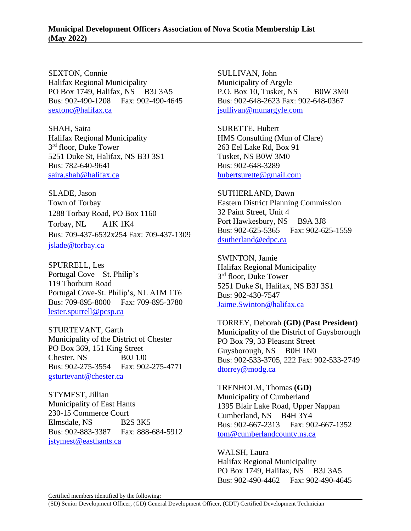SEXTON, Connie Halifax Regional Municipality PO Box 1749, Halifax, NS B3J 3A5 Bus: 902-490-1208 Fax: 902-490-4645 [sextonc@halifax.ca](mailto:sextonc@halifax.ca)

SHAH, Saira Halifax Regional Municipality 3<sup>rd</sup> floor, Duke Tower 5251 Duke St, Halifax, NS B3J 3S1 Bus: 782-640-9641 [saira.shah@halifax.ca](mailto:saira.shah@halifax.ca)

SLADE, Jason Town of Torbay 1288 Torbay Road, PO Box 1160 Torbay, NL A1K 1K4 Bus: 709-437-6532x254 Fax: 709-437-1309 [jslade@torbay.ca](mailto:bwinter@torbay.ca)

SPURRELL, Les Portugal Cove – St. Philip's 119 Thorburn Road Portugal Cove-St. Philip's, NL A1M 1T6 Bus: 709-895-8000 Fax: 709-895-3780 [lester.spurrell@pcsp.ca](mailto:lester.spurrell@pcsp.ca)

STURTEVANT, Garth Municipality of the District of Chester PO Box 369, 151 King Street Chester, NS B0J 1J0 Bus: 902-275-3554 Fax: 902-275-4771 [gsturtevant@chester.ca](mailto:gsturtevant@chester.ca)

STYMEST, Jillian Municipality of East Hants 230-15 Commerce Court Elmsdale, NS B2S 3K5 Bus: 902-883-3387 Fax: 888-684-5912 [jstymest@easthants.ca](mailto:jstymest@easthants.ca)

SULLIVAN, John Municipality of Argyle P.O. Box 10, Tusket, NS B0W 3M0 Bus: 902-648-2623 Fax: 902-648-0367 [jsullivan@munargyle.com](mailto:jsullivan@munargyle.com)

SURETTE, Hubert HMS Consulting (Mun of Clare) 263 Eel Lake Rd, Box 91 Tusket, NS B0W 3M0 Bus: 902-648-3289 [hubertsurette@gmail.com](mailto:hubertsurette@gmail.com)

SUTHERLAND, Dawn Eastern District Planning Commission 32 Paint Street, Unit 4 Port Hawkesbury, NS B9A 3J8 Bus: 902-625-5365 Fax: 902-625-1559 [dsutherland@edpc.ca](mailto:dsutherland@edpc.ca) 

SWINTON, Jamie Halifax Regional Municipality 3<sup>rd</sup> floor, Duke Tower 5251 Duke St, Halifax, NS B3J 3S1 Bus: 902-430-7547 [Jaime.Swinton@halifax.ca](mailto:Jaime.Swinton@halifax.ca)

TORREY, Deborah **(GD) (Past President)** Municipality of the District of Guysborough PO Box 79, 33 Pleasant Street Guysborough, NS B0H 1N0 Bus: 902-533-3705, 222 Fax: 902-533-2749 dtorrey@modg.ca

TRENHOLM, Thomas **(GD)** Municipality of Cumberland 1395 Blair Lake Road, Upper Nappan Cumberland, NS B4H 3Y4 Bus: 902-667-2313 Fax: 902-667-1352 [tom@cumberlandcounty.ns.ca](mailto:tom@cumberlandcounty.ns.ca)

WALSH, Laura Halifax Regional Municipality PO Box 1749, Halifax, NS B3J 3A5 Bus: 902-490-4462 Fax: 902-490-4645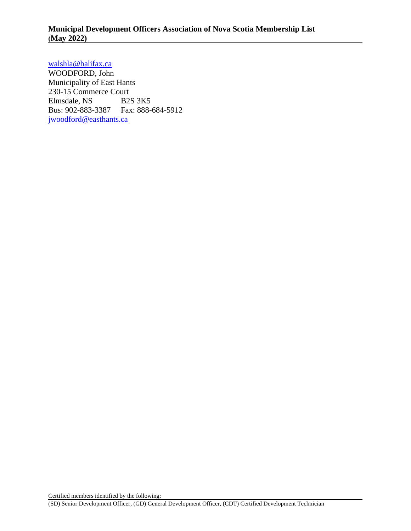walshla@halifax.ca

WOODFORD, John Municipality of East Hants 230-15 Commerce Court Elmsdale, NS B2S 3K5 Bus: 902-883-3387 Fax: 888-684-5912 [jwoodford@easthants.ca](mailto:jwoodford@easthants.ca)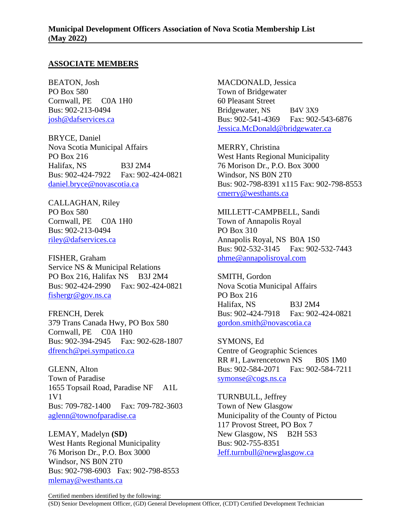## **ASSOCIATE MEMBERS**

BEATON, Josh PO Box 580 Cornwall, PE C0A 1H0 Bus: 902-213-0494 [josh@dafservices.ca](mailto:josh@dafservices.ca)

BRYCE, Daniel Nova Scotia Municipal Affairs PO Box 216 Halifax, NS B3J 2M4 Bus: 902-424-7922 Fax: 902-424-0821 [daniel.bryce@novascotia.ca](mailto:daniel.bryce@novascotia.ca)

CALLAGHAN, Riley PO Box 580 Cornwall, PE C0A 1H0 Bus: 902-213-0494 [riley@dafservices.ca](mailto:riley@dafservices.ca)

FISHER, Graham Service NS & Municipal Relations PO Box 216, Halifax NS B3J 2M4 Bus: 902-424-2990 Fax: 902-424-0821 fishergr@gov.ns.ca

FRENCH, Derek 379 Trans Canada Hwy, PO Box 580 Cornwall, PE C0A 1H0 Bus: 902-394-2945 Fax: 902-628-1807 [dfrench@pei.sympatico.ca](mailto:dfrench@pei.sympatico.ca)

GLENN, Alton Town of Paradise 1655 Topsail Road, Paradise NF A1L 1V1 Bus: 709-782-1400 Fax: 709-782-3603 aglenn@townofparadise.ca

LEMAY, Madelyn **(SD)** West Hants Regional Municipality 76 Morison Dr., P.O. Box 3000 Windsor, NS B0N 2T0 Bus: 902-798-6903 Fax: 902-798-8553 mlemay@westhants.ca

MACDONALD, Jessica Town of Bridgewater 60 Pleasant Street Bridgewater, NS B4V 3X9 Bus: 902-541-4369 Fax: 902-543-6876 [Jessica.McDonald@bridgewater.ca](mailto:Jessica.McDonald@bridgewater.ca)

MERRY, Christina West Hants Regional Municipality 76 Morison Dr., P.O. Box 3000 Windsor, NS B0N 2T0 Bus: 902-798-8391 x115 Fax: 902-798-8553 cmerry@westhants.ca

MILLETT-CAMPBELL, Sandi Town of Annapolis Royal PO Box 310 Annapolis Royal, NS B0A 1S0 Bus: 902-532-3145 Fax: 902-532-7443 [phme@annapolisroyal.com](mailto:phme@annapolisroyal.com)

SMITH, Gordon Nova Scotia Municipal Affairs PO Box 216 Halifax, NS B3J 2M4 Bus: 902-424-7918 Fax: 902-424-0821 [gordon.smith@novascotia.ca](mailto:gordon.smith@novascotia.ca)

SYMONS, Ed Centre of Geographic Sciences RR #1, Lawrencetown NS B0S 1M0 Bus: 902-584-2071 Fax: 902-584-7211 symonse@cogs.ns.ca

TURNBULL, Jeffrey Town of New Glasgow Municipality of the County of Pictou 117 Provost Street, PO Box 7 New Glasgow, NS B2H 5S3 Bus: 902-755-8351 Jeff.turnbull@newglasgow.ca